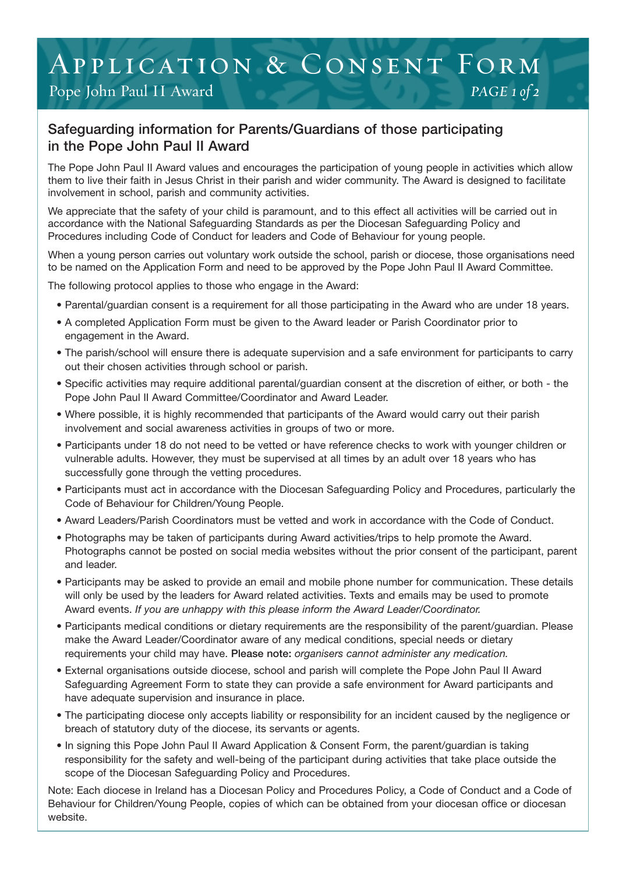## Pope John Paul II Award *PAGE 1 of 2* Application & Consent Form

## Safeguarding information for Parents/Guardians of those participating in the Pope John Paul II Award

The Pope John Paul II Award values and encourages the participation of young people in activities which allow them to live their faith in Jesus Christ in their parish and wider community. The Award is designed to facilitate involvement in school, parish and community activities.

We appreciate that the safety of your child is paramount, and to this effect all activities will be carried out in accordance with the National Safeguarding Standards as per the Diocesan Safeguarding Policy and Procedures including Code of Conduct for leaders and Code of Behaviour for young people.

When a young person carries out voluntary work outside the school, parish or diocese, those organisations need to be named on the Application Form and need to be approved by the Pope John Paul II Award Committee.

The following protocol applies to those who engage in the Award:

- Parental/guardian consent is a requirement for all those participating in the Award who are under 18 years.
- A completed Application Form must be given to the Award leader or Parish Coordinator prior to engagement in the Award.
- The parish/school will ensure there is adequate supervision and a safe environment for participants to carry out their chosen activities through school or parish.
- Specific activities may require additional parental/guardian consent at the discretion of either, or both the Pope John Paul II Award Committee/Coordinator and Award Leader.
- Where possible, it is highly recommended that participants of the Award would carry out their parish involvement and social awareness activities in groups of two or more.
- Participants under 18 do not need to be vetted or have reference checks to work with younger children or vulnerable adults. However, they must be supervised at all times by an adult over 18 years who has successfully gone through the vetting procedures.
- Participants must act in accordance with the Diocesan Safeguarding Policy and Procedures, particularly the Code of Behaviour for Children/Young People.
- Award Leaders/Parish Coordinators must be vetted and work in accordance with the Code of Conduct.
- Photographs may be taken of participants during Award activities/trips to help promote the Award. Photographs cannot be posted on social media websites without the prior consent of the participant, parent and leader.
- Participants may be asked to provide an email and mobile phone number for communication. These details will only be used by the leaders for Award related activities. Texts and emails may be used to promote Award events. *If you are unhappy with this please inform the Award Leader/Coordinator.*
- Participants medical conditions or dietary requirements are the responsibility of the parent/guardian. Please make the Award Leader/Coordinator aware of any medical conditions, special needs or dietary requirements your child may have. Please note: *organisers cannot administer any medication.*
- External organisations outside diocese, school and parish will complete the Pope John Paul II Award Safeguarding Agreement Form to state they can provide a safe environment for Award participants and have adequate supervision and insurance in place.
- The participating diocese only accepts liability or responsibility for an incident caused by the negligence or breach of statutory duty of the diocese, its servants or agents.
- In signing this Pope John Paul II Award Application & Consent Form, the parent/guardian is taking responsibility for the safety and well-being of the participant during activities that take place outside the scope of the Diocesan Safeguarding Policy and Procedures.

**822 Behaviour for Children/Young People, copies of which can be obtained from your diocesan office or diocesan<br>Behaviour for Children/Young People, copies of which can be obtained from your diocesan office or diocesan** Note: Each diocese in Ireland has a Diocesan Policy and Procedures Policy, a Code of Conduct and a Code of website.